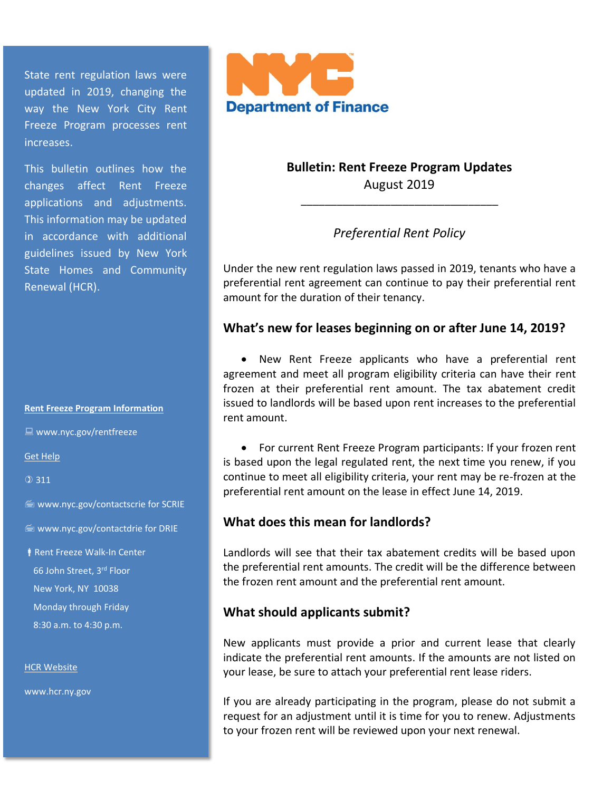State rent regulation laws were updated in 2019, changing the way the New York City Rent Freeze Program processes rent increases.

This bulletin outlines how the changes affect Rent Freeze applications and adjustments. This information may be updated in accordance with additional guidelines issued by New York State Homes and Community Renewal (HCR).

#### **Rent Freeze Program Information**

■ www.nyc.gov/rentfreeze

Get Help

 $① 311$ 

www.nyc.gov/contactscrie for SCRIE

**WWW.nyc.gov/contactdrie for DRIE** 

**Rent Freeze Walk-In Center**  66 John Street, 3rd Floor New York, NY 10038 Monday through Friday 8:30 a.m. to 4:30 p.m.

**HCR Website** 

www.hcr.ny.gov



**Bulletin: Rent Freeze Program Updates** August 2019

\_\_\_\_\_\_\_\_\_\_\_\_\_\_\_\_\_\_\_\_\_\_\_\_\_\_\_\_\_\_\_\_\_

### *Preferential Rent Policy*

Under the new rent regulation laws passed in 2019, tenants who have a preferential rent agreement can continue to pay their preferential rent amount for the duration of their tenancy.

#### **What's new for leases beginning on or after June 14, 2019?**

• New Rent Freeze applicants who have a preferential rent agreement and meet all program eligibility criteria can have their rent frozen at their preferential rent amount. The tax abatement credit issued to landlords will be based upon rent increases to the preferential rent amount.

• For current Rent Freeze Program participants: If your frozen rent is based upon the legal regulated rent, the next time you renew, if you continue to meet all eligibility criteria, your rent may be re-frozen at the preferential rent amount on the lease in effect June 14, 2019.

### **What does this mean for landlords?**

Landlords will see that their tax abatement credits will be based upon the preferential rent amounts. The credit will be the difference between the frozen rent amount and the preferential rent amount.

#### **What should applicants submit?**

New applicants must provide a prior and current lease that clearly indicate the preferential rent amounts. If the amounts are not listed on your lease, be sure to attach your preferential rent lease riders.

If you are already participating in the program, please do not submit a request for an adjustment until it is time for you to renew. Adjustments to your frozen rent will be reviewed upon your next renewal.